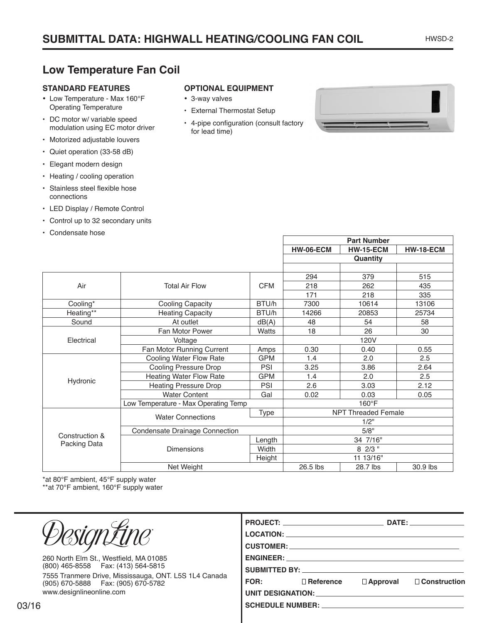## **Low Temperature Fan Coil**

## **STANDARD FEATURES**

- • Low Temperature Max 160°F Operating Temperature
- DC motor w/ variable speed modulation using EC motor driver
- Motorized adjustable louvers
- Quiet operation (33-58 dB)
- Elegant modern design
- Heating / cooling operation
- • Stainless steel flexible hose connections
- LED Display / Remote Control
- Control up to 32 secondary units
- Condensate hose

## **OPTIONAL EQUIPMENT**

- • 3-way valves
- • External Thermostat Setup
- • 4-pipe configuration (consult factory for lead time)



**Part Number**

|                                |                                      |                        | <b>HW-06-ECM</b>           | <b>HW-15-ECM</b> | <b>HW-18-ECM</b> |
|--------------------------------|--------------------------------------|------------------------|----------------------------|------------------|------------------|
|                                |                                      |                        | Quantity                   |                  |                  |
|                                |                                      |                        |                            |                  |                  |
|                                | <b>Total Air Flow</b>                | <b>CFM</b>             | 294                        | 379              | 515              |
| Air                            |                                      |                        | 218                        | 262              | 435              |
|                                |                                      |                        | 171                        | 218              | 335              |
| Cooling*                       | <b>Cooling Capacity</b>              | BTU/h<br>7300<br>10614 |                            |                  | 13106            |
| Heating**                      | <b>Heating Capacity</b>              | BTU/h                  | 14266                      | 20853            | 25734            |
| Sound                          | At outlet                            | dB(A)                  | 48                         | 54               | 58               |
|                                | Fan Motor Power                      | Watts                  | 18                         | 26               | 30               |
| Electrical                     | Voltage                              |                        | 120V                       |                  |                  |
|                                | Fan Motor Running Current            | Amps                   | 0.30                       | 0.40             | 0.55             |
|                                | Cooling Water Flow Rate              | <b>GPM</b>             | 1.4                        | 2.0              | 2.5              |
|                                | <b>Cooling Pressure Drop</b>         | PSI                    | 3.25                       | 3.86             | 2.64             |
| Hydronic                       | <b>Heating Water Flow Rate</b>       | <b>GPM</b>             | 1.4                        | 2.0              | 2.5              |
|                                | <b>Heating Pressure Drop</b>         | PSI                    | 2.6                        | 3.03             | 2.12             |
|                                | <b>Water Content</b>                 | Gal                    | 0.02                       | 0.03             | 0.05             |
|                                | Low Temperature - Max Operating Temp |                        | 160°F                      |                  |                  |
|                                | <b>Water Connections</b>             | <b>Type</b>            | <b>NPT Threaded Female</b> |                  |                  |
| Construction &<br>Packing Data |                                      |                        | 1/2"                       |                  |                  |
|                                | Condensate Drainage Connection       |                        | 5/8"                       |                  |                  |
|                                | <b>Dimensions</b>                    | Length                 | 34 7/16"                   |                  |                  |
|                                |                                      | Width                  | 8 2/3 "                    |                  |                  |
|                                |                                      | Height                 | 11 13/16"                  |                  |                  |
|                                | Net Weight                           |                        | 26.5 lbs                   | 28.7 lbs         | 30.9 lbs         |

\*at 80°F ambient, 45°F supply water

\*\*at 70°F ambient, 160°F supply water

|                                                                                               | PROJECT: ________________________________<br>DATE: the contract of the contract of the contract of the contract of the contract of the contract of the contract of the contract of the contract of the contract of the contract of the contract of the contract of the cont<br>LOCATION: New York State State State State State State State State State State State State State State State State State State State State State State State State State State State State State State State State State State |                  |                 |                     |
|-----------------------------------------------------------------------------------------------|---------------------------------------------------------------------------------------------------------------------------------------------------------------------------------------------------------------------------------------------------------------------------------------------------------------------------------------------------------------------------------------------------------------------------------------------------------------------------------------------------------------|------------------|-----------------|---------------------|
| 260 North Elm St., Westfield, MA 01085<br>(800) 465-8558  Fax: (413) 564-5815                 | SUBMITTED BY: North Substitution of the Substitution of the Substitution of the Substitution of the Substitution of the Substitution of the Substitution of the Substitution of the Substitution of the Substitution of the Su                                                                                                                                                                                                                                                                                |                  |                 |                     |
| 7555 Tranmere Drive, Mississauga, ONT. L5S 1L4 Canada<br>(905) 670-5888   Fax: (905) 670-5782 | <b>FOR:</b>                                                                                                                                                                                                                                                                                                                                                                                                                                                                                                   | $\Box$ Reference | $\Box$ Approval | $\Box$ Construction |
| www.designlineonline.com                                                                      | UNIT DESIGNATION: THE RESIGNATION OF THE RESIGNATION.                                                                                                                                                                                                                                                                                                                                                                                                                                                         |                  |                 |                     |
| 6                                                                                             | SCHEDULE NUMBER: __________________________                                                                                                                                                                                                                                                                                                                                                                                                                                                                   |                  |                 |                     |